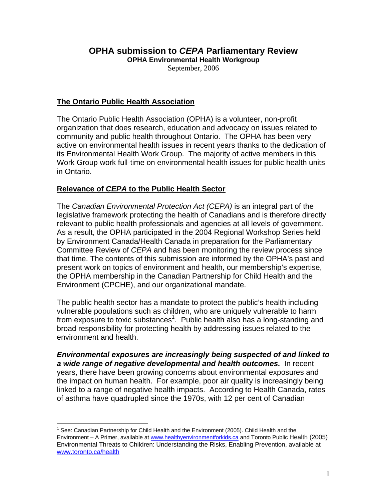# **OPHA submission to** *CEPA* **Parliamentary Review**

**OPHA Environmental Health Workgroup** 

September, 2006

## **The Ontario Public Health Association**

The Ontario Public Health Association (OPHA) is a volunteer, non-profit organization that does research, education and advocacy on issues related to community and public health throughout Ontario. The OPHA has been very active on environmental health issues in recent years thanks to the dedication of its Environmental Health Work Group. The majority of active members in this Work Group work full-time on environmental health issues for public health units in Ontario.

## **Relevance of** *CEPA* **to the Public Health Sector**

The *Canadian Environmental Protection Act (CEPA)* is an integral part of the legislative framework protecting the health of Canadians and is therefore directly relevant to public health professionals and agencies at all levels of government. As a result, the OPHA participated in the 2004 Regional Workshop Series held by Environment Canada/Health Canada in preparation for the Parliamentary Committee Review of *CEPA* and has been monitoring the review process since that time. The contents of this submission are informed by the OPHA's past and present work on topics of environment and health, our membership's expertise, the OPHA membership in the Canadian Partnership for Child Health and the Environment (CPCHE), and our organizational mandate.

The public health sector has a mandate to protect the public's health including vulnerable populations such as children, who are uniquely vulnerable to harm from exposure to toxic substances<sup>1</sup>. Public health also has a long-standing and broad responsibility for protecting health by addressing issues related to the environment and health.

*Environmental exposures are increasingly being suspected of and linked to a wide range of negative developmental and health outcomes.* In recent years, there have been growing concerns about environmental exposures and the impact on human health. For example, poor air quality is increasingly being linked to a range of negative health impacts. According to Health Canada, rates of asthma have quadrupled since the 1970s, with 12 per cent of Canadian

<sup>————————————————————&</sup>lt;br><sup>1</sup> See: Canadian Partnership for Child Health and the Environment (2005). Child Health and the Environment – A Primer, available at www.healthyenvironmentforkids.ca and Toronto Public Health (2005) Environmental Threats to Children: Understanding the Risks, Enabling Prevention, available at www.toronto.ca/health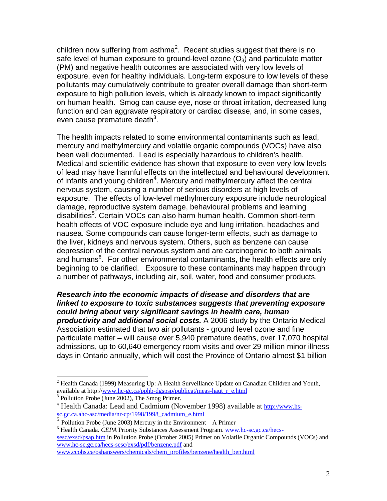children now suffering from asthma<sup>2</sup>. Recent studies suggest that there is no safe level of human exposure to ground-level ozone  $(O_3)$  and particulate matter (PM) and negative health outcomes are associated with very low levels of exposure, even for healthy individuals. Long-term exposure to low levels of these pollutants may cumulatively contribute to greater overall damage than short-term exposure to high pollution levels, which is already known to impact significantly on human health. Smog can cause eye, nose or throat irritation, decreased lung function and can aggravate respiratory or cardiac disease, and, in some cases, even cause premature death $3$ .

The health impacts related to some environmental contaminants such as lead, mercury and methylmercury and volatile organic compounds (VOCs) have also been well documented. Lead is especially hazardous to children's health. Medical and scientific evidence has shown that exposure to even very low levels of lead may have harmful effects on the intellectual and behavioural development of infants and young children<sup>4</sup>. Mercury and methylmercury affect the central nervous system, causing a number of serious disorders at high levels of exposure. The effects of low-level methylmercury exposure include neurological damage, reproductive system damage, behavioural problems and learning disabilities<sup>5</sup>. Certain VOCs can also harm human health. Common short-term health effects of VOC exposure include eye and lung irritation, headaches and nausea. Some compounds can cause longer-term effects, such as damage to the liver, kidneys and nervous system. Others, such as benzene can cause depression of the central nervous system and are carcinogenic to both animals and humans<sup>6</sup>. For other environmental contaminants, the health effects are only beginning to be clarified. Exposure to these contaminants may happen through a number of pathways, including air, soil, water, food and consumer products.

#### *Research into the economic impacts of disease and disorders that are linked to exposure to toxic substances suggests that preventing exposure could bring about very significant savings in health care, human productivity and additional social costs.* A 2006 study by the Ontario Medical Association estimated that two air pollutants - ground level ozone and fine particulate matter – will cause over 5,940 premature deaths, over 17,070 hospital admissions, up to 60,640 emergency room visits and over 29 million minor illness days in Ontario annually, which will cost the Province of Ontario almost \$1 billion

 $\overline{a}$ 

<sup>6</sup> Health Canada. *CEPA* Priority Substances Assessment Program. www.hc-sc.gc.ca/hecssesc/exsd/psap.htm in Pollution Probe (October 2005) Primer on Volatile Organic Compounds (VOCs) and www.hc-sc.gc.ca/hecs-sesc/exsd/pdf/benzene.pdf and www.ccohs.ca/oshanswers/chemicals/chem\_profiles/benzene/health\_ben.html

<sup>&</sup>lt;sup>2</sup> Health Canada (1999) Measuring Up: A Health Surveillance Update on Canadian Children and Youth, available at http://<u>www.hc-gc.ca/pphb-dgspsp/publicat/meas-haut\_r\_e.html</u> <sup>3</sup> Pollution Probe (June 2002), The Smog Primer.

<sup>&</sup>lt;sup>4</sup> Health Canada: Lead and Cadmium (November 1998) available at **http://www.hs**sc.gc.ca.ahc-asc/media/nr-cp/1998/1998\_cadmium\_e.html<br>
<sup>5</sup> Pollution Probe (June 2003) Mercury in the Environment – A Primer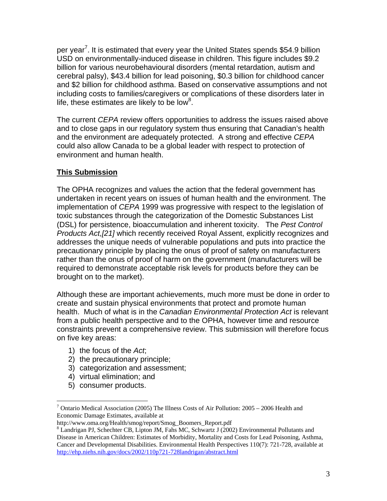per year<sup>7</sup>. It is estimated that every year the United States spends \$54.9 billion USD on environmentally-induced disease in children. This figure includes \$9.2 billion for various neurobehavioural disorders (mental retardation, autism and cerebral palsy), \$43.4 billion for lead poisoning, \$0.3 billion for childhood cancer and \$2 billion for childhood asthma. Based on conservative assumptions and not including costs to families/caregivers or complications of these disorders later in life, these estimates are likely to be low<sup>8</sup>.

The current *CEPA* review offers opportunities to address the issues raised above and to close gaps in our regulatory system thus ensuring that Canadian's health and the environment are adequately protected. A strong and effective *CEPA* could also allow Canada to be a global leader with respect to protection of environment and human health.

## **This Submission**

The OPHA recognizes and values the action that the federal government has undertaken in recent years on issues of human health and the environment. The implementation of *CEPA* 1999 was progressive with respect to the legislation of toxic substances through the categorization of the Domestic Substances List (DSL) for persistence, bioaccumulation and inherent toxicity. The *Pest Control Products Act,[21]* which recently received Royal Assent, explicitly recognizes and addresses the unique needs of vulnerable populations and puts into practice the precautionary principle by placing the onus of proof of safety on manufacturers rather than the onus of proof of harm on the government (manufacturers will be required to demonstrate acceptable risk levels for products before they can be brought on to the market).

Although these are important achievements, much more must be done in order to create and sustain physical environments that protect and promote human health. Much of what is in the *Canadian Environmental Protection Act* is relevant from a public health perspective and to the OPHA, however time and resource constraints prevent a comprehensive review. This submission will therefore focus on five key areas:

- 1) the focus of the *Act*;
- 2) the precautionary principle;
- 3) categorization and assessment;
- 4) virtual elimination; and
- 5) consumer products.

<u>.</u>

<sup>&</sup>lt;sup>7</sup> Ontario Medical Association (2005) The Illness Costs of Air Pollution:  $2005 - 2006$  Health and Economic Damage Estimates, available at

http://www.oma.org/Health/smog/report/Smog\_Boomers\_Report.pdf 8

Landrigan PJ, Schechter CB, Lipton JM, Fahs MC, Schwartz J (2002) Environmental Pollutants and Disease in American Children: Estimates of Morbidity, Mortality and Costs for Lead Poisoning, Asthma, Cancer and Developmental Disabilities. Environmental Health Perspectives 110(7): 721-728, available at http://ehp.niehs.nih.gov/docs/2002/110p721-728landrigan/abstract.html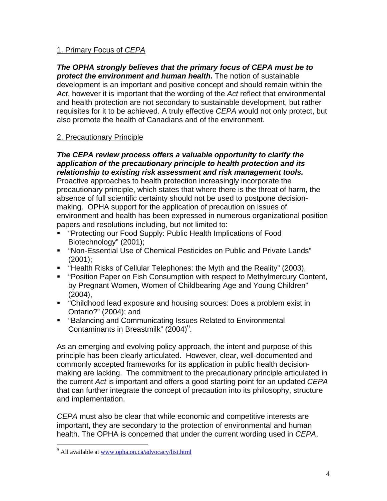## 1. Primary Focus of *CEPA*

*The OPHA strongly believes that the primary focus of CEPA must be to protect the environment and human health.* The notion of sustainable development is an important and positive concept and should remain within the *Act*, however it is important that the wording of the *Act* reflect that environmental and health protection are not secondary to sustainable development, but rather requisites for it to be achieved. A truly effective *CEPA* would not only protect, but also promote the health of Canadians and of the environment.

## 2. Precautionary Principle

## *The CEPA review process offers a valuable opportunity to clarify the application of the precautionary principle to health protection and its relationship to existing risk assessment and risk management tools.*

Proactive approaches to health protection increasingly incorporate the precautionary principle, which states that where there is the threat of harm, the absence of full scientific certainty should not be used to postpone decisionmaking. OPHA support for the application of precaution on issues of environment and health has been expressed in numerous organizational position papers and resolutions including, but not limited to:

- "Protecting our Food Supply: Public Health Implications of Food Biotechnology" (2001);
- "Non-Essential Use of Chemical Pesticides on Public and Private Lands" (2001);
- "Health Risks of Cellular Telephones: the Myth and the Reality" (2003),
- "Position Paper on Fish Consumption with respect to Methylmercury Content, by Pregnant Women, Women of Childbearing Age and Young Children" (2004),
- "Childhood lead exposure and housing sources: Does a problem exist in Ontario?" (2004); and
- "Balancing and Communicating Issues Related to Environmental Contaminants in Breastmilk"  $(2004)^9$ .

As an emerging and evolving policy approach, the intent and purpose of this principle has been clearly articulated. However, clear, well-documented and commonly accepted frameworks for its application in public health decisionmaking are lacking. The commitment to the precautionary principle articulated in the current *Act* is important and offers a good starting point for an updated *CEPA* that can further integrate the concept of precaution into its philosophy, structure and implementation.

*CEPA* must also be clear that while economic and competitive interests are important, they are secondary to the protection of environmental and human health. The OPHA is concerned that under the current wording used in *CEPA*,

 $\overline{a}$ 

<sup>&</sup>lt;sup>9</sup> All available at www.opha.on.ca/advocacy/list.html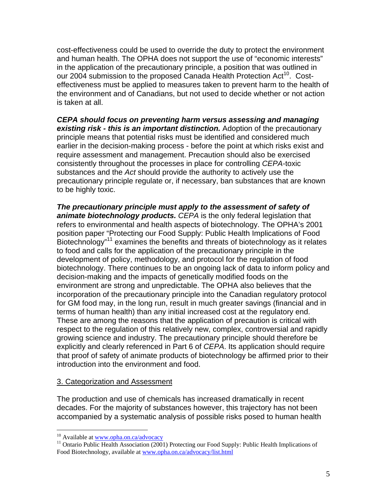cost-effectiveness could be used to override the duty to protect the environment and human health. The OPHA does not support the use of "economic interests" in the application of the precautionary principle, a position that was outlined in our 2004 submission to the proposed Canada Health Protection Act<sup>10</sup>. Costeffectiveness must be applied to measures taken to prevent harm to the health of the environment and of Canadians, but not used to decide whether or not action is taken at all.

*CEPA should focus on preventing harm versus assessing and managing existing risk - this is an important distinction.* Adoption of the precautionary principle means that potential risks must be identified and considered much earlier in the decision-making process - before the point at which risks exist and require assessment and management. Precaution should also be exercised consistently throughout the processes in place for controlling *CEPA*-toxic substances and the *Act* should provide the authority to actively use the precautionary principle regulate or, if necessary, ban substances that are known to be highly toxic.

*The precautionary principle must apply to the assessment of safety of animate biotechnology products. CEPA* is the only federal legislation that refers to environmental and health aspects of biotechnology. The OPHA's 2001 position paper "Protecting our Food Supply: Public Health Implications of Food Biotechnology"11 examines the benefits and threats of biotechnology as it relates to food and calls for the application of the precautionary principle in the development of policy, methodology, and protocol for the regulation of food biotechnology. There continues to be an ongoing lack of data to inform policy and decision-making and the impacts of genetically modified foods on the environment are strong and unpredictable. The OPHA also believes that the incorporation of the precautionary principle into the Canadian regulatory protocol for GM food may, in the long run, result in much greater savings (financial and in terms of human health) than any initial increased cost at the regulatory end. These are among the reasons that the application of precaution is critical with respect to the regulation of this relatively new, complex, controversial and rapidly growing science and industry. The precautionary principle should therefore be explicitly and clearly referenced in Part 6 of *CEPA*. Its application should require that proof of safety of animate products of biotechnology be affirmed prior to their introduction into the environment and food.

#### 3. Categorization and Assessment

The production and use of chemicals has increased dramatically in recent decades. For the majority of substances however, this trajectory has not been accompanied by a systematic analysis of possible risks posed to human health

<sup>&</sup>lt;sup>10</sup> Available at www.opha.on.ca/advocacy

<sup>&</sup>lt;sup>11</sup> Ontario Public Health Association (2001) Protecting our Food Supply: Public Health Implications of Food Biotechnology, available at www.opha.on.ca/advocacy/list.html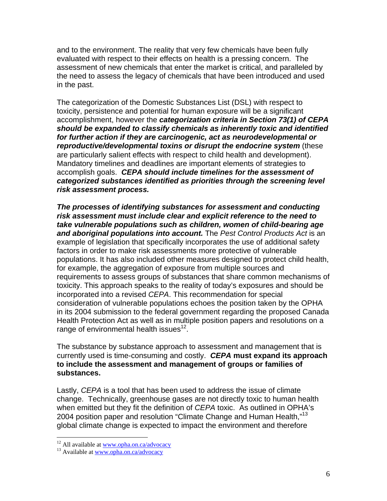and to the environment. The reality that very few chemicals have been fully evaluated with respect to their effects on health is a pressing concern. The assessment of new chemicals that enter the market is critical, and paralleled by the need to assess the legacy of chemicals that have been introduced and used in the past.

The categorization of the Domestic Substances List (DSL) with respect to toxicity, persistence and potential for human exposure will be a significant accomplishment, however the *categorization criteria in Section 73(1) of CEPA should be expanded to classify chemicals as inherently toxic and identified for further action if they are carcinogenic, act as neurodevelopmental or reproductive/developmental toxins or disrupt the endocrine system* (these are particularly salient effects with respect to child health and development). Mandatory timelines and deadlines are important elements of strategies to accomplish goals. *CEPA should include timelines for the assessment of categorized substances identified as priorities through the screening level risk assessment process.*

*The processes of identifying substances for assessment and conducting risk assessment must include clear and explicit reference to the need to take vulnerable populations such as children, women of child-bearing age and aboriginal populations into account.* The *Pest Control Products Act* is an example of legislation that specifically incorporates the use of additional safety factors in order to make risk assessments more protective of vulnerable populations. It has also included other measures designed to protect child health, for example, the aggregation of exposure from multiple sources and requirements to assess groups of substances that share common mechanisms of toxicity. This approach speaks to the reality of today's exposures and should be incorporated into a revised *CEPA*. This recommendation for special consideration of vulnerable populations echoes the position taken by the OPHA in its 2004 submission to the federal government regarding the proposed Canada Health Protection Act as well as in multiple position papers and resolutions on a range of environmental health issues $^{12}$ .

The substance by substance approach to assessment and management that is currently used is time-consuming and costly. *CEPA* **must expand its approach to include the assessment and management of groups or families of substances.** 

Lastly, *CEPA* is a tool that has been used to address the issue of climate change. Technically, greenhouse gases are not directly toxic to human health when emitted but they fit the definition of *CEPA* toxic. As outlined in OPHA's 2004 position paper and resolution "Climate Change and Human Health,"<sup>13</sup> global climate change is expected to impact the environment and therefore

1

<sup>&</sup>lt;sup>12</sup> All available at <u>www.opha.on.ca/advocacy</u>  $13$  Available at www.opha.on.ca/advocacy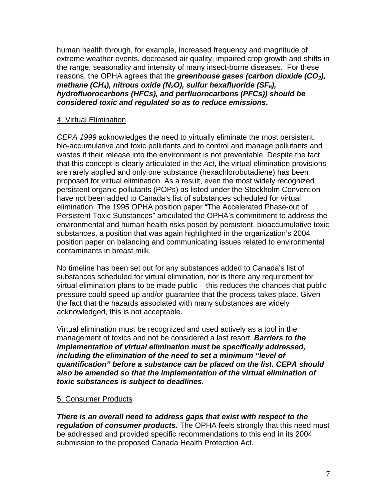human health through, for example, increased frequency and magnitude of extreme weather events, decreased air quality, impaired crop growth and shifts in the range, seasonality and intensity of many insect-borne diseases. For these reasons, the OPHA agrees that the *greenhouse gases (carbon dioxide (CO2), methane (CH4), nitrous oxide (N2O), sulfur hexafluoride (SF6), hydrofluorocarbons (HFCs), and perfluorocarbons (PFCs)) should be considered toxic and regulated so as to reduce emissions***.** 

## 4. Virtual Elimination

*CEPA 1999* acknowledges the need to virtually eliminate the most persistent, bio-accumulative and toxic pollutants and to control and manage pollutants and wastes if their release into the environment is not preventable. Despite the fact that this concept is clearly articulated in the *Act*, the virtual elimination provisions are rarely applied and only one substance (hexachlorobutadiene) has been proposed for virtual elimination. As a result, even the most widely recognized persistent organic pollutants (POPs) as listed under the Stockholm Convention have not been added to Canada's list of substances scheduled for virtual elimination. The 1995 OPHA position paper "The Accelerated Phase-out of Persistent Toxic Substances" articulated the OPHA's commitment to address the environmental and human health risks posed by persistent, bioaccumulative toxic substances, a position that was again highlighted in the organization's 2004 position paper on balancing and communicating issues related to environmental contaminants in breast milk.

No timeline has been set out for any substances added to Canada's list of substances scheduled for virtual elimination, nor is there any requirement for virtual elimination plans to be made public – this reduces the chances that public pressure could speed up and/or guarantee that the process takes place. Given the fact that the hazards associated with many substances are widely acknowledged, this is not acceptable.

Virtual elimination must be recognized and used actively as a tool in the management of toxics and not be considered a last resort. *Barriers to the implementation of virtual elimination must be specifically addressed, including the elimination of the need to set a minimum "level of quantification" before a substance can be placed on the list. CEPA should also be amended so that the implementation of the virtual elimination of toxic substances is subject to deadlines.* 

#### 5. Consumer Products

*There is an overall need to address gaps that exist with respect to the regulation of consumer products.* The OPHA feels strongly that this need must be addressed and provided specific recommendations to this end in its 2004 submission to the proposed Canada Health Protection Act.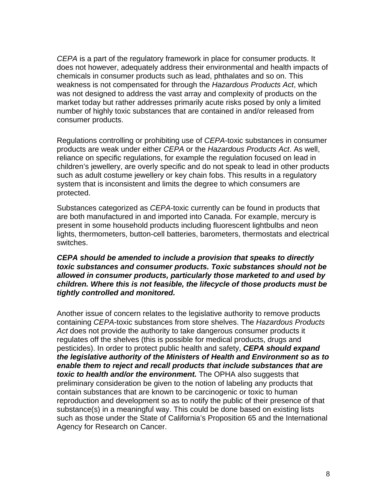*CEPA* is a part of the regulatory framework in place for consumer products. It does not however, adequately address their environmental and health impacts of chemicals in consumer products such as lead, phthalates and so on. This weakness is not compensated for through the *Hazardous Products Act*, which was not designed to address the vast array and complexity of products on the market today but rather addresses primarily acute risks posed by only a limited number of highly toxic substances that are contained in and/or released from consumer products.

Regulations controlling or prohibiting use of *CEPA*-toxic substances in consumer products are weak under either *CEPA* or the *Hazardous Products Act*. As well, reliance on specific regulations, for example the regulation focused on lead in children's jewellery, are overly specific and do not speak to lead in other products such as adult costume jewellery or key chain fobs. This results in a regulatory system that is inconsistent and limits the degree to which consumers are protected.

Substances categorized as *CEPA*-toxic currently can be found in products that are both manufactured in and imported into Canada. For example, mercury is present in some household products including fluorescent lightbulbs and neon lights, thermometers, button-cell batteries, barometers, thermostats and electrical switches.

#### *CEPA should be amended to include a provision that speaks to directly toxic substances and consumer products. Toxic substances should not be allowed in consumer products, particularly those marketed to and used by children. Where this is not feasible, the lifecycle of those products must be tightly controlled and monitored.*

Another issue of concern relates to the legislative authority to remove products containing *CEPA*-toxic substances from store shelves. The *Hazardous Products Act* does not provide the authority to take dangerous consumer products it regulates off the shelves (this is possible for medical products, drugs and pesticides). In order to protect public health and safety, *CEPA should expand the legislative authority of the Ministers of Health and Environment so as to enable them to reject and recall products that include substances that are toxic to health and/or the environment.* The OPHA also suggests that preliminary consideration be given to the notion of labeling any products that contain substances that are known to be carcinogenic or toxic to human reproduction and development so as to notify the public of their presence of that substance(s) in a meaningful way. This could be done based on existing lists such as those under the State of California's Proposition 65 and the International Agency for Research on Cancer.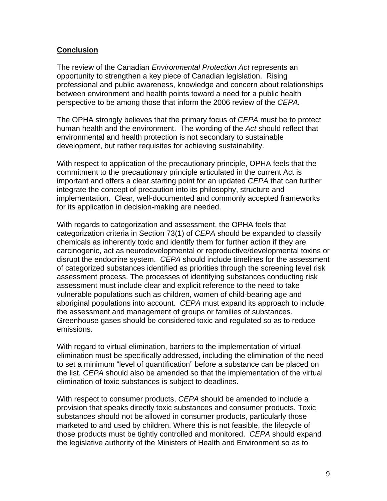#### **Conclusion**

The review of the Canadian *Environmental Protection Act* represents an opportunity to strengthen a key piece of Canadian legislation. Rising professional and public awareness, knowledge and concern about relationships between environment and health points toward a need for a public health perspective to be among those that inform the 2006 review of the *CEPA.*

The OPHA strongly believes that the primary focus of *CEPA* must be to protect human health and the environment. The wording of the *Act* should reflect that environmental and health protection is not secondary to sustainable development, but rather requisites for achieving sustainability.

With respect to application of the precautionary principle, OPHA feels that the commitment to the precautionary principle articulated in the current Act is important and offers a clear starting point for an updated *CEPA* that can further integrate the concept of precaution into its philosophy, structure and implementation. Clear, well-documented and commonly accepted frameworks for its application in decision-making are needed.

With regards to categorization and assessment, the OPHA feels that categorization criteria in Section 73(1) of *CEPA* should be expanded to classify chemicals as inherently toxic and identify them for further action if they are carcinogenic, act as neurodevelopmental or reproductive/developmental toxins or disrupt the endocrine system. *CEPA* should include timelines for the assessment of categorized substances identified as priorities through the screening level risk assessment process. The processes of identifying substances conducting risk assessment must include clear and explicit reference to the need to take vulnerable populations such as children, women of child-bearing age and aboriginal populations into account. *CEPA* must expand its approach to include the assessment and management of groups or families of substances. Greenhouse gases should be considered toxic and regulated so as to reduce emissions.

With regard to virtual elimination, barriers to the implementation of virtual elimination must be specifically addressed, including the elimination of the need to set a minimum "level of quantification" before a substance can be placed on the list. *CEPA* should also be amended so that the implementation of the virtual elimination of toxic substances is subject to deadlines.

With respect to consumer products, *CEPA* should be amended to include a provision that speaks directly toxic substances and consumer products. Toxic substances should not be allowed in consumer products, particularly those marketed to and used by children. Where this is not feasible, the lifecycle of those products must be tightly controlled and monitored. *CEPA* should expand the legislative authority of the Ministers of Health and Environment so as to